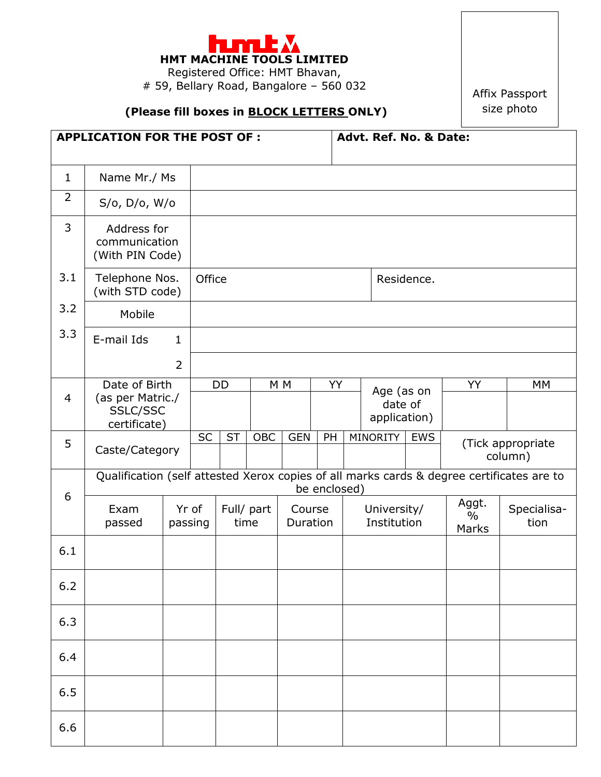

Registered Office: HMT Bhavan, # 59, Bellary Road, Bangalore – 560 032

## **(Please fill boxes in BLOCK LETTERS ONLY)**

Affix Passport size photo

| <b>APPLICATION FOR THE POST OF:</b> |                                                 |                  |                                                                                                           |                    |     |                    | Advt. Ref. No. & Date:  |                            |            |                                 |                     |    |  |  |
|-------------------------------------|-------------------------------------------------|------------------|-----------------------------------------------------------------------------------------------------------|--------------------|-----|--------------------|-------------------------|----------------------------|------------|---------------------------------|---------------------|----|--|--|
| $\mathbf{1}$                        | Name Mr./ Ms                                    |                  |                                                                                                           |                    |     |                    |                         |                            |            |                                 |                     |    |  |  |
| $\overline{2}$                      | $S/O$ , $D/O$ , $W/O$                           |                  |                                                                                                           |                    |     |                    |                         |                            |            |                                 |                     |    |  |  |
| 3                                   | Address for<br>communication<br>(With PIN Code) |                  |                                                                                                           |                    |     |                    |                         |                            |            |                                 |                     |    |  |  |
| 3.1                                 | Telephone Nos.<br>(with STD code)               |                  | Office                                                                                                    |                    |     |                    |                         |                            |            | Residence.                      |                     |    |  |  |
| 3.2                                 | Mobile                                          |                  |                                                                                                           |                    |     |                    |                         |                            |            |                                 |                     |    |  |  |
| 3.3                                 | E-mail Ids                                      | $\mathbf{1}$     |                                                                                                           |                    |     |                    |                         |                            |            |                                 |                     |    |  |  |
|                                     |                                                 | $\overline{2}$   |                                                                                                           |                    |     |                    |                         |                            |            |                                 |                     |    |  |  |
| 4                                   | Date of Birth<br>(as per Matric./               |                  | <b>DD</b>                                                                                                 |                    |     | M <sub>M</sub>     | YY                      |                            | Age (as on |                                 | YY                  | МM |  |  |
|                                     | SSLC/SSC<br>certificate)                        |                  |                                                                                                           |                    |     |                    | date of<br>application) |                            |            |                                 |                     |    |  |  |
| 5                                   | Caste/Category                                  |                  | <b>SC</b>                                                                                                 | <b>ST</b>          | OBC | <b>GEN</b>         | PH                      |                            | MINORITY   | <b>EWS</b>                      | (Tick appropriate   |    |  |  |
|                                     |                                                 |                  |                                                                                                           |                    |     |                    |                         |                            |            | column)                         |                     |    |  |  |
| 6                                   |                                                 |                  | Qualification (self attested Xerox copies of all marks cards & degree certificates are to<br>be enclosed) |                    |     |                    |                         |                            |            |                                 |                     |    |  |  |
|                                     | Exam<br>passed                                  | Yr of<br>passing |                                                                                                           | Full/ part<br>time |     | Course<br>Duration |                         | University/<br>Institution |            | Aggt.<br>$\frac{0}{0}$<br>Marks | Specialisa-<br>tion |    |  |  |
| 6.1                                 |                                                 |                  |                                                                                                           |                    |     |                    |                         |                            |            |                                 |                     |    |  |  |
| $6.2$                               |                                                 |                  |                                                                                                           |                    |     |                    |                         |                            |            |                                 |                     |    |  |  |
| 6.3                                 |                                                 |                  |                                                                                                           |                    |     |                    |                         |                            |            |                                 |                     |    |  |  |
| 6.4                                 |                                                 |                  |                                                                                                           |                    |     |                    |                         |                            |            |                                 |                     |    |  |  |
| 6.5                                 |                                                 |                  |                                                                                                           |                    |     |                    |                         |                            |            |                                 |                     |    |  |  |
| 6.6                                 |                                                 |                  |                                                                                                           |                    |     |                    |                         |                            |            |                                 |                     |    |  |  |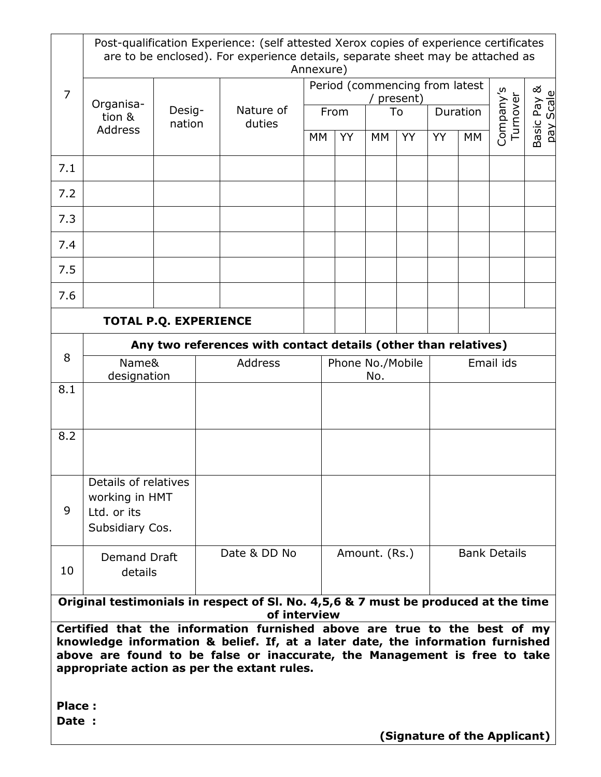|                                                                                                                                                                                                                                                                                         | Post-qualification Experience: (self attested Xerox copies of experience certificates<br>are to be enclosed). For experience details, separate sheet may be attached as<br>Annexure) |                  |         |                     |      |                                                                |               |    |            |                     |                                |                       |                          |  |
|-----------------------------------------------------------------------------------------------------------------------------------------------------------------------------------------------------------------------------------------------------------------------------------------|--------------------------------------------------------------------------------------------------------------------------------------------------------------------------------------|------------------|---------|---------------------|------|----------------------------------------------------------------|---------------|----|------------|---------------------|--------------------------------|-----------------------|--------------------------|--|
| 7                                                                                                                                                                                                                                                                                       | Organisa-                                                                                                                                                                            | Desig-<br>nation |         |                     |      |                                                                |               |    | / present) |                     | Period (commencing from latest |                       |                          |  |
|                                                                                                                                                                                                                                                                                         | tion &<br><b>Address</b>                                                                                                                                                             |                  |         | Nature of<br>duties | From |                                                                |               | To |            | Duration            |                                | Company's<br>Turnover | Basic Pay &<br>pay Scale |  |
|                                                                                                                                                                                                                                                                                         |                                                                                                                                                                                      |                  |         |                     | МM   |                                                                | <b>YY</b>     | МM | YY         | YY.                 | MM                             |                       |                          |  |
| 7.1                                                                                                                                                                                                                                                                                     |                                                                                                                                                                                      |                  |         |                     |      |                                                                |               |    |            |                     |                                |                       |                          |  |
| 7.2                                                                                                                                                                                                                                                                                     |                                                                                                                                                                                      |                  |         |                     |      |                                                                |               |    |            |                     |                                |                       |                          |  |
| 7.3                                                                                                                                                                                                                                                                                     |                                                                                                                                                                                      |                  |         |                     |      |                                                                |               |    |            |                     |                                |                       |                          |  |
| 7.4                                                                                                                                                                                                                                                                                     |                                                                                                                                                                                      |                  |         |                     |      |                                                                |               |    |            |                     |                                |                       |                          |  |
| 7.5                                                                                                                                                                                                                                                                                     |                                                                                                                                                                                      |                  |         |                     |      |                                                                |               |    |            |                     |                                |                       |                          |  |
| 7.6                                                                                                                                                                                                                                                                                     |                                                                                                                                                                                      |                  |         |                     |      |                                                                |               |    |            |                     |                                |                       |                          |  |
| <b>TOTAL P.Q. EXPERIENCE</b>                                                                                                                                                                                                                                                            |                                                                                                                                                                                      |                  |         |                     |      |                                                                |               |    |            |                     |                                |                       |                          |  |
| 8                                                                                                                                                                                                                                                                                       |                                                                                                                                                                                      |                  |         |                     |      | Any two references with contact details (other than relatives) |               |    |            |                     |                                |                       |                          |  |
|                                                                                                                                                                                                                                                                                         | Name&<br>designation                                                                                                                                                                 |                  | Address |                     |      | Phone No./Mobile<br>No.                                        |               |    |            | Email ids           |                                |                       |                          |  |
| 8.1                                                                                                                                                                                                                                                                                     |                                                                                                                                                                                      |                  |         |                     |      |                                                                |               |    |            |                     |                                |                       |                          |  |
| 8.2                                                                                                                                                                                                                                                                                     |                                                                                                                                                                                      |                  |         |                     |      |                                                                |               |    |            |                     |                                |                       |                          |  |
|                                                                                                                                                                                                                                                                                         | Details of relatives                                                                                                                                                                 |                  |         |                     |      |                                                                |               |    |            |                     |                                |                       |                          |  |
| 9                                                                                                                                                                                                                                                                                       | working in HMT<br>Ltd. or its                                                                                                                                                        |                  |         |                     |      |                                                                |               |    |            |                     |                                |                       |                          |  |
|                                                                                                                                                                                                                                                                                         | Subsidiary Cos.                                                                                                                                                                      |                  |         |                     |      |                                                                |               |    |            |                     |                                |                       |                          |  |
| 10                                                                                                                                                                                                                                                                                      | Demand Draft<br>details                                                                                                                                                              |                  |         | Date & DD No        |      |                                                                | Amount. (Rs.) |    |            | <b>Bank Details</b> |                                |                       |                          |  |
| Original testimonials in respect of Sl. No. 4,5,6 & 7 must be produced at the time<br>of interview                                                                                                                                                                                      |                                                                                                                                                                                      |                  |         |                     |      |                                                                |               |    |            |                     |                                |                       |                          |  |
| Certified that the information furnished above are true to the best of my<br>knowledge information & belief. If, at a later date, the information furnished<br>above are found to be false or inaccurate, the Management is free to take<br>appropriate action as per the extant rules. |                                                                                                                                                                                      |                  |         |                     |      |                                                                |               |    |            |                     |                                |                       |                          |  |
| Place:<br>Date :                                                                                                                                                                                                                                                                        |                                                                                                                                                                                      |                  |         |                     |      |                                                                |               |    |            |                     |                                |                       |                          |  |

 **(Signature of the Applicant)**